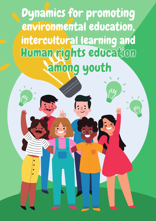# **Dynamics for promoting** environmental education intercultural learning and Homan rights education among youth

 $\sqrt{\cdot}$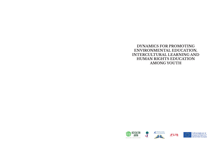# **DYNAMICS FOR PROMOTING ENVIRONMENTAL EDUCATION, INTERCULTURAL LEARNING AND HUMAN RIGHTS EDUCATION AMONG YOUTH**

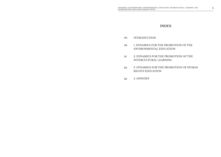# **INDEX**

- INTRODUCTION 06
- 1. DYNAMICS FOR THE PROMOTION OF THE ENVIRONMENTAL EDUCATION 08
- 2. DYNAMICS FOR THE PROMOTION OF THE INTERCULTURAL LEARNING 16
- 3. DYNAMICS FOR THE PROMOTION OF HUMAN RIGHTS EDUCATION 26
- 4. ANNEXES 36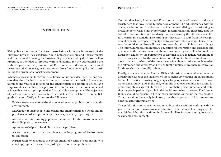# **INTRODUCTION**

This publication, created by Auryn Association within the framework of the European project "Eco-challenge: Youth Entrepreneurship and Environmental and Intercultural Learning for Sustainability", co-financed by the Erasmus Plus Program, is intended to propose various dynamics for the educational work with the youth in the promotion of Environmental Education, Intercultural Learning and Human Rights Education as three fundamental pillars of contributing to a sustainable social development.

When we speak about Environmental Education we consider it as a lifelong process that aims for imparting environmental awareness, ecological knowledge, attitudes and values of respect for the environment to commit to actions and responsibilities that have as a purpose the rational use of resources and could achieve that way an appropriated and sustainable development. The objectives of the Environmental Education have been defined by the UNESCO in the Belgrade Charter of 1975, and they are the following:

- Raising awareness: to sensitize the population to the problems related to the environment.
- Knowledge: to help people understand the environment as a whole and its problems in order to promote a critical responsibility regarding them.
- Attitudes: to foster, among population, an interest for the environment and the willingness to conserve it.
- Aptitudes: to help acquire skills to solve the problem.
- Access to evaluation: to help people evaluate the programs of Environmental education.
- Participation: to encourage the development of a sense of responsibility to adopt appropriate measures regarding environmental problems.

On the other hand, Intercultural Education is a source of personal and social enrichment that favours the human development. The education has, with no doubt, an important function on the intercultural dialogue, contributing to breaking down walls built by ignorance, incomprehension, insecurity and the lack of communication and solidarity. For transforming the ethnical and cultural diversity into something rewarding it is necessary to start from the recognition of equality, to respect diversity and to promote interexchange. Only in that way the multiculturalism will turn into interculturalism. This is the challenge. The Intercultural Education means education for interaction and exchange and openness to the cultural values of the various human groups. The Intercultural Education alludes to the perspective of learning to live together, responding to the diversity caused by the cohabitation of different ethical, cultural and religious groups in the heart of the same society. It is about an education focused on the difference, the diversity and the cultural plurality more than an education for those who are culturally different.

Finally, we believe that the Human Rights Education is essential to address the underlying causes of the violation of those rights. By creating an environment favorable to critical thinking, we give space for people to reflect about their own values and attitudes and, in the end, to modify their own conduct. It is useful for preventing abuses against Human Rights, combating discrimination and fostering the participation of people in the decision-making processes. The Human Rights should be present in life, at every moment, as the air that we breathe. Thus, they should not only be known, but also be present all life dimensions, personal and communal ones.

This publication contains 12 educational dynamics useful in working with the youth, focused on Environmental Education, Intercultural Learning and Human Rights Education as three fundamental pillars for contributing to a social sustainable development.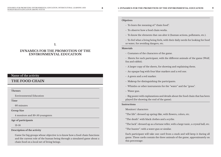# **Objetives**

- To learn the meaning of "chain food".
- To observe how a food chain works.
- To know the elements that can alter it (human actions, pollutants, etc.).
- To feel what a living being feels, with their daily needs for looking for food or water, for avoiding dangers, etc.

#### **Materials**

- Costumes of the characters of the game.
- Sheets for each participant, with the different animals of the game (Wolf, fox and rabbit).
- A larger copy of the sheets, for showing and explaining them.
- An opaque bag with four blue markers and a red one.
- A green and a red marker.
- Makeup for distinguishing the participants.
- Whistles or other instruments for the "water" and the "grass".
- Water gun.

- Big poster with explanations and details about the food chain that has been played (for showing the end of the game).

# **Instructions**

# Monitors' characters

"The life": dressed up spring-like, with flowers, colors, etc.

"The death": with black clothes and a scythe.

"The luck": dressed up as a fortune teller, with a large tunic, a crystal ball, etc.

"The hunter": with a water gun or similar.

Each participant will take one card from a stack and will keep it during all game. These cards contain the three animals of the game, approximately on this percentage:

**1.**

# **DYNAMICS FOR THE PROMOTION OF THE ENVIRONMENTAL EDUCATION**

# **Name of the activity**

# **THE FOOD CHAIN**

**Themes**

Environmental Education

**Time**

60 minutes

**Group Size**

4 monitors and 30-50 youngsters

**Age of participants**

13-16

#### **Description of the activity**

Game for big groups whose objective is to know how a food chain functions and the current role of the human being through a simulated game about a chain food on a local net of living beings.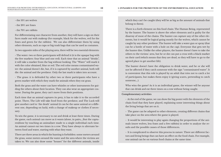## - the 10% are wolves

- the 20% are foxes
- the 70% are rabbits

For differentiating one character from another, they will have a sign on their faces made out with makeup (for example, black for the wolves, red for the foxes and green for the rabbits). We can also differentiate them by using other elements, such as cups or big trash bags that can be used as costumes.

In two opposite sides of the playing area, there will be two essential elements:

- The water: two or three participants will defend it (it is the opaque bag with the five markers: four blue and one red). Each time that an animal "drinks", it will take a marker from the bag without looking. The "Water" will mark it with the color obtained, blue or red. The red color means contaminated water: the animal doesn't die, but, if it is captured by another animal, both will die: the animal and the predator. Only the last mark is taken into account.

- The grass: it is defended by other two or three participants who have a green marker with which they mark the animals when they eat grass.

Both the grass and the water can have whistles or other instruments for guiding the others about their location. They can also wear an appropriate costume. During the game, they can't move from their positions.

Each time that an animal captures its prey, it has to take it to the accorded point. There, The Life will take food from the predator, and The Luck will give another card to ¨the death¨ animal (it can be the same animal or a different one, depending on luck), with a change of makeup or clothes if necessary.

To win the game, it is necessary to eat and drink at least three times. During the game, each animal can move as it wants (alone, in pairs,…)but the captures(done by touching an animal)are made to a single individual each time. An animal cannot eat two times in a row. They have always to alternate between food and water, starting with what they want.

There are three areas in which the hunting is forbidden: some meters around the grass, some meters around the water and the area where the victims are taken to. We can also draw some "houses" for the different animals, inside which they can't be caught (they will be as big as the amount of animals that belong to them).

There is a forth element on this food chain: The Human Being, represented by the hunter. The hunter is above the other elements and is guilty for the disarray of most of the chains. The hunter can capture any of the other elements, but it would be logical going mostly for the wolves, which cannot be caught by any other predator. The hunter will take a water gun or spray (that can be a bottle of water with a hole on the cap). Everyone that gets wet by the hunter dies. Unlike the other players, the hunter doesn't have to take the others to the victims´ area, but he or she can put a cross with a black marker on their card (which means that they are dead, so they will have to go to the agreed place to get another life).

The hunter doesn't have the obligation to drink water, and he or she will not be affected if they catch someone with the sign "contaminated water". It is convenient that this role is played by an adult that tries not to catch a lot of participants, but makes them enjoy it (giving scares, pretending to catch someone,…).

Who wins the game? As it is an individual game, the winner will be anyone that can drink and eat three times on a row without being caught.

# **Complementary activities**

- At the end of the game, we can show the big poster with the elements of the chain food that they have played, explaining some interesting things about the living beings that are on it.

- The game can be adapted to other elements, creating different chains that take place on the area where the game is played.

- It would be interesting to play again changing the proportions of the animals (more wolves, less foxes and a few rabbits) in order to analyze the results and the possible causes of those differences.

- It is complicated to observe this process in nature. There are different factors and living beings that can have an effect on the food chain. For example, one animal can be on various food chains at the same time.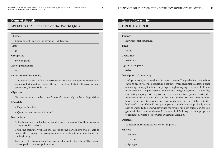# **Name of the activity**

# **WHAT'S UP? The State of the World Quiz**

#### **Themes**

Environment - society - innovation – differences

**Time**

1h

**Group Size**

Solo or group

**Age of participants**

Up to 10

# **Description of the activity**

This activity consist of a 80-questions test that can be used to make young people reflect about our society through questions linked with environment, population, human rights, etc.

#### **Objetives**

To raise awareness on the state of the world, especially on the ecological side.

## **Materials**

- Papers / Pencils-
- Questions and answers: Annex I

## **Instructions**

At the beginning, the facilitator decides, with the group, how they are going to organize themselves.

Then, the facilitator will ask the questions, the participants will be able to answer them on paper, in groups or alone, according to what was decided in the beginning.

Each correct gets a point, each wrong one does not get anything. The person or group with the most points wins.

# **Name of the activity**

# **DROP BY DROP**

#### **Themes**

Enviromental education

**Time**

10 min

**Group Size**

No limits

**Age of participants**

6-90

# **Description of the activity**

Let's play a relay race in which the baton is water. The goal of each team is to carry as much water as possible, in a set time, from an initial bucket to a final one using the supplied items, a sponge or a glass, trying to waste as little water as possible. The participants, divided into two groups, stand in single file, alternating a sponge with a glass, until the two buckets are joined. During the water relay the conductor will put the teams under pressure often remembering how much time is left and how much water has been taken into the bucket of arrival. This will lead participants to accelerate and probably waste a lot of water. In the end whoever has more water in both buckets wins! The game will help us to understand that even in life, hurry and inappropriate tools make us waste a lot of water without realizing it.

#### **Objetives**

To reflect on responsible water consumption.

# **Materials**

- Buckets
- Glasses
- Sponges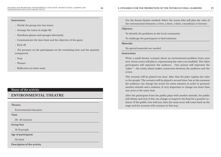# **Instructions**

- Divide the group into two teams
- Arrange the teams in single file
- Distribute glasses and sponges alternately
- Communicate the time limit and the objective of the game
- Kick off
- Put pressure on the participants on the remaining time and the quantity transported
- Stop
- Winner
- Reflection on water waste

# **Name of the activity**

# **ENVIRONMENTAL THEATRE**

## **Themes**

Enviromental education

**Time**

30 -40 minutes

**Group Size**

12-16 people

**Age of participants**

No limit

**Description of the activity**

Use the forum theatre method. Select the actors who will play the roles of the enviromental elements: a river, a three, a bird, a woodman or forester.

## **Objetives**

To identify the problems in the local community

To challenge the participants to find solutions

## **Materials**

No special materials are needed

## **Instructions**

Write a small theatre scenario about an enviromental problem from your area. Some actors will play it, representing the roles you establish. The other participants will represent the audience. One person will represent the "joker" – the entity which makes connection between the audience and the actors.

The scenario will be played one time. After that the joker explain the rules to the people. The scenario will be played a second time, but at this moment the audience can change the actors for some minutes in order to promote another attitude and a solution. Is very important to change not more than one actor at the same time.

After the participant from the public plays with another attitude, the public will debate and vote if this can change or improve the final for a positive solution. If the public vote with yes, then the main actor will come back on the stage and the scenario will continue in that way.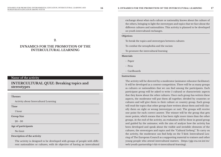**2.**

# **DYNAMICS FOR THE PROMOTION OF THE INTERCULTURAL LEARNING**

# **Name of the activity**

# **INTERCULTURAL QUIZ: Breaking topics and stereotypes**

**Themes**

Activity about Intercultural Learning

**Time**

1 hour

**Group Size**

20 - 30

**Age of participants**

No limit

**Description of the activity**

The activity is designed to be developed with groups of people with different nationalities or cultures, with de objective of having an intercultural

exchange about what each culture or nationality knows about the culture of the others, bringing to light the stereotypes and topics that we face about the different cultures and nationalities. This activity is planned to be developed on youth intercultural exchanges.

#### **Objetives**

To break the topics and stereotypes between cultures

To combat the xenophobia and the racism

To promote the intercultural learning

**Materials**

- Paper

- Pens
- Cardboards

#### **Instructions**

The activity will be directed by a moderator (animator-educator-facilitator). It will be developed as a contest-competition. There will be as many groups as cultures or nationalities that we can find among the participants. Each participant group will be asked to write 5 cultural or characteristic aspects that they know about the other cultures. Once each group has written these aspects, the moderator will put them all together, divided by countries or cultures and will give them to their culture or country group. Each group will read the topics that other groups have written about them and will classify them on right or wrong (stereotypes or not). The groups will receive one point for each correct answer. The winner will be the group that gets more points, which means that it has been right more times than the other groups. At the end of the activity, an evaluation will be done in grand group and guided by the animator, with the aim of analyze how the activity has been developed and speak about the visible and invisible elements of the cultures, the stereotypes and topics and the "Cultural Iceberg". To carry on the activity, the moderator can find help on the T-kit4: Intercultural Learing of The European Council as a supporting material to trainers and other young people who attend intercultural matters. (https://pjp-eu.coe.int/en/ web/youth-partnership/t-kit-4-intercultural-learning).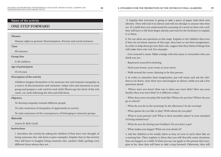# **Name of the activity**

# **ONE STEP FORWARD**

#### **Themes**

Human rights in general, Discrimination, Poverty and social exclusion

**Time**

60 minutes

**Group Size**

0-30 children

**Age of participants**

10-13 years

## **Description of the activity**

Children imagine themselves to be someone else and examine inequality as a source of discrimination and exclusion. Adapt roles and situations to your group and prepare a role card for each child. Photocopy the sheet of the role cards, cut cards following the dots and fold them.

## **Objetives**

To develop empathy towards different people

To raise awareness of inequality of opportunity in society

To raise awareness of the consequences of belonging to minority groups

# **Materials**

# Annex II: Role Cards

# **Instructions**

1. Introduce the activity by asking the children if they have ever thought of being someone else. Ask them to give examples. Explain that in this activity they will have to imagine being someone else, another child, perhaps very different from whom they are.

 2. Explain that everyone is going to take a piece of paper with their new identity. They will read it in silence and will not divulge to anyone who they are. If a child does not understand the meaning of a word on their role card, they will have to lift their finger silently and wait for the facilitator to explain it to them.

3. Do not allow any questions at this stage. Explain to the children that even if they do not know anyone of this type, they have to use their imagination. In order to help them get into their role, suggest that they think of things that will make their role real. For example:

- Give yourself a name. Make a badge with this name to remember who you think you are.

- Represent yourself in drawing.
- Draw your house, your room or your street.
- Walk around the room claiming to be that person.

4. In order to stimulate their imagination, put soft music and ask the children to sit down, close their eyes and imagine in silence, while you ask a few questions aloud:

- Where were you born? How was it when you were little? How was your family when you were little? Is it different today?

- What does your everyday life look like? Where do you live? Where do you go to school?

- What do you do in the morning? In the afternoon? In the evening?
- What games do you like to play? With whom do you play?

- What is your parents´ job? What is their monthly salary? Is your standard of living satisfactory?

- What do you do during your holidays? Do you have a pet?
- What makes you happy? What are you afraid of?

5. Ask the children to be totally silent as they sit next to each other like on a starting line. Then explain to them that you will describe some situations that can happen to a child. If what you say can apply to the person they imagine to be, then they will have to take a step forward. Otherwise, they will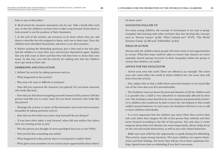# have to stay at their place.

6. Read aloud the situation statements one by one. Take a break after each one, so that the children can have time to take a step forward. Invite them to look around to see the position of their classmates.

7. At the end of the activity, ask everyone to sit down where they are. Ask them to describe the role assigned to them, each one in their turn. Once the children have identified themselves, ask them to see their position.

8. Before tackling the debriefing questions, put a clear end to the role play. Ask the children to close their eyes and become themselves again. Explain that you will count to three and that they will then have to shout their own name. In this way, you end the activity by making sure that the children won´t get stuck in their role.

## **DEBRIEFING AND EVALUATION**

1. Debrief the activity by asking questions such as:

- What happened in this activity?
- Was your role easy or difficult to interpret?

- How did you represent the character you played? Do you know someone who looks like him?

- How did you feel about imagining yourself instead of this person? Did this person look like you in some ways? Do you know someone who looks like this person?

- Reassign the activity to issues of discrimination and social and economic inequality by asking questions such as:

- How did you feel when you took a step forward? By not doing it?
- If you have often taken a step forward, when did you realize that others were not moving as fast as you?
- Was the person you thought of more privileged than you or not? Why?
- Did you feel that something was unfair?
- What happened in this activity does it correspond to reality? How?
- What gives some members of our society more opportunities than others?

# Or fewer ones?

# **SUGGESTED FOLLOW-UP**

For many young children, the concept of stereotypes is not easy to grasp. Complete this learning with other activities that also develop this concept, such as "Picture Games" (p.98), "Who's behind me?" (P.177), "The World Summer Camp" (p.126) and "Zabderfilio" (p.215).

# **IDEAS OF ACTION**

Discuss with the children about people who have more or less opportunities in society. What first steps could be taken to ensure that chances are more equitably shared among everyone? Is there inequality within the group or society that children can tackle?

# **ADVICE FOR THE FACILITATOR**

- Invent your own role cards! These are offered as an example. The more your role cards reflect the world in which children live, the more they will learn from the activity.

- Also, adapt roles so that a child whose personal situation is too much like one of the roles does not feel uncomfortable.

- The facilitator may not know the personal situation of all the children and it is possible that a child is very disturbed or emotionally affected by their role. The facilitator must therefore be very cautious and particularly attentive to children who would not be able to leave the role behind or who would exhibit unusual behavior. In such cases, the facilitator will have to try to talk to these children individually.

- It is very important that the children stay silent when they receive their role card, when they imagine the life of the person they embody and they move forward according to the life of that person. Not only does it create suspense about their new identity, but more importantly, silence helps focus on the role and avoids distractions, as well as non-role-related behaviors.

- Make sure each child has the opportunity to speak during the debriefing. This activity causes strong emotions. The more children can express themselves and their feelings, the better they will get rid of their unpleasant feelings. Spend more time on debriefing if you feel it necessary.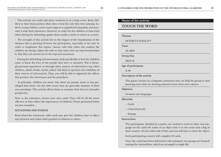- This activity can easily take place outdoors or in a large room. Keep children in their final position when they reveal the role they were playing. Indeed, young children need visual support to apprehend inequality and associate it with their characters. However, in order for the children to hear each other during the debriefing, gather them inside a circle or return to a room.

- The strength of this activity lies in the impact of the visualization of the distance that is growing between the participants, especially at the end. In order to emphasize this impact, choose roles that reflect the realities the children are facing. Adjust the roles so that only a few can step forward (that is, that they can answer yes to the exposed situations).

- During the debriefing and assessment, look specifically at how the children came to know the lives of the people they were to interpret. Was it through personal experience or through other sources of information (eg, other children, adults, books, media, jokes)? Ask them to question the reliability of their sources of information. Thus, you will be able to approach the effects that produce the stereotypes and the prejudices.

- In principle, children are aware that there are people more or less privileged than them. On the other hand, they are generally unaware of their own privileges. This activity allows them to resituate their lives in a broader perspective.

Note to the animators: invent your own cards! They will be all the more effective as they reflect the experiences of children! Those presented below are just examples....

# **SITUATIONS AND EVENTS**

Read aloud the statements. After each one, give the children time to take a step forward and realize their position in relation to others.

# **Name of the activity**

# **TOUCH THE WORD**

#### **Themes**

INTERCULTURALITY

**Time**

30. MIN

**Group Size**

MAX 10

**Age of participants**

6-99

#### **Description of the activity**

This game consists on a linguistic animation that can help the group to start knowing each other by showing elements from their own cultures.

#### **Objetives**

To know new languages

**Materials**

- Cards
- Colored pencils
- Whistle

## **Instructions**

The participants, divided by country, are invited to write in their own language on the cards the name of an object that is in the room and a flag of their country. On the other side of the card you will have to draw the object.

Each participating country will complete 10 cards.

Once the cards have been delivered to the animator, two groups are formed, mixing the nationalities, which are arranged in single file.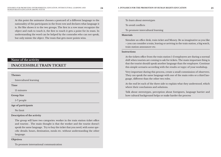At this point the animator chooses a postcard of a different language to the nationality of the participants in the front row and declares what language it is. He/She shows it to the two groups. The first in a row must recognize the object and rush to touch it, the first to touch it gets a point for its team. In understanding the word can be helped by the comrades who can not speak, but only mimic the object. The team that gets more points wins.

# **Name of the activity**

# **INACCESSIBLE TRAIN TICKET**

## **Themes**

Intercultural learning

**Time**

15 minutes

**Group Size**

5-7 people

**Age of participants**

No limit

**Description of the activity**

The group will have two categories: worker in the train station ticket office and tourists . The main thought is that the worker and the tourist doesn't speak the same language. Try to buy the ticket that you need, with some specific details: hours, destination, meals etc. without understanding the other language.

## **Objetives**

To promote international communication

To learn about stereotypes

To avoid conflicts

To promote intercultural learning

# **Materials**

Simulate an office desk, train ticket and Money. Be as imaginative as you like – you can consider a train, leaving or arriving in the train station, a big watch, train station announcer etc.

# **Instructions**

At the tickets office from the train station 1-2 employees are during a normal shift when tourists are coming to ask for tickets. The main important thing is that the tourist should speak another language than the employee. Continue this simple scenario according with the results or topyc of your workshop.

Very important during this process, create a small commission of observers. They can speak the same language with one of the main roles or a third language, different than the other two roles.

At the end let each of the three side to explain what they understood, which where their conclusions and solutions.

Talk about stereotypes, perception about foreigners, language barrier and how cultural background helps or make harder the process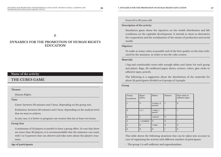# From 13 to 30 years old.

#### **Description of the activity**

Simulation game about the injustices on the wealth distribution and life conditions on the capitalist development. It intends to show as alternative the cooperation and the socialization of the means of production and social wealth.

# **Objetives**

To make as many cubes as possible and of the best quality on the time indicated by the animator, in order to win the cube contest.

## **Materials**

1 big and comfortable room whit enough tables and chairs for each group and player. Bags, A3 cardboard paper sheets, scissors, rulers, glue sticks or adhesive tapes, pencils.

The following is a suggestion about the distribution of the materials for about 24 participants divided on 6 groups of 4 people:

**Group**

| Group<br>(countries) | Paper<br>sheets   | Rulers                 | <b>Scissors</b> | Glue sticks or<br>adhesive tapes |
|----------------------|-------------------|------------------------|-----------------|----------------------------------|
|                      | 3                 | 2 rulers, 2<br>pencils |                 | $\overline{2}$                   |
| $\mathbf{2}$         | $1 y \frac{1}{2}$ | 1 ruler, 1<br>pencil   |                 |                                  |
| 3                    |                   | 1 pencil               | $\Omega$        |                                  |
| $\overline{4}$       | ½ wrinkled        | $\Omega$               | $\Omega$        |                                  |
| 5                    | 0                 | 1 ruler                | $\Omega$        | $\Omega$                         |
| 6                    | $\Omega$          | $\Omega$               |                 | $\Omega$                         |

This table shows the following situations that can be taken into account in case of organizing the activity with different number of participants

- The group 1 is self-sufficient and superabundant.

**3.**

# **DYNAMICS FOR THE PROMOTION OF HUMAN RIGHTS EDUCATION**

# **Name of the activity**

**THE CUBES GAME**

**Themes**

Human Rights

#### **Time**

Game: between 30 minutes and 1 hour, depending on the group size.

Evaluation: between 30 minutes and 1 hour, depending on the analysis level that we want to achieve.

In any case, it is better to program one session that last at least two hours.

## **Group Size**

A minimum of 10 players is needed to have a group effect. In case that there are more than 30 players, it is recommendable that the animator can count with 1 or 2 partners that can observe and take notes about the players' reactions.

# **Age of participants**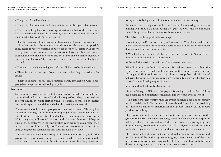- The group 2 is self-sufficient.

- The group 3 lacks a basic tool because it is not easily replaceable: scissors.

- The groups 4, 5 y 6 are on a shortage situation: the half of the sheet, carefully wrinkled and maybe also dirtied by the animator, cannot be used for make a cube that would "win the context".

- The two groups without any paper (groups 5 y 6) are on an urgency situation, because it is the raw material without which there is no possible cube. There is just one possible solution for them: to associate with others, to negotiate, to borrow, to ask for donations, to look for other instruments from wherever to make the cubes, etc. Both have one element to negotiate: one ruler and 1 scissor. There is paper enough for everyone, but badly distributed.

- There is practically enough glue sticks for all, but also badly distributed.
- There is relative shortage of rulers and pencils but they are easily replaceable.

- There is shortage of scissors, a material hardly replaceable. One "poor" group has this precious material (group 6).

# **Instructions**

Each group receives their bag with the materials assigned. The animator indicates the time for the game. After the first stage of surprise, and sometimes of complaining, everyone start to work. The animator must be absolutely quiet to the questions and demands that the participants may ask.

The animator should let each group make their own decisions. The only forbidden thing is to go out of the room for going to buy or get the things that they don't have. The animator should tell often the group how many time is left for the game, walk around the room and take notes about what is happening on the activity. When the time finishes, each group should present their cubes to the rest of the participants. The animator announces the end of the game, congrats the participants, and start the evaluation stage.

The animator can decide if a group is chosen as winner or not, and if this group can receive a symbolic prize or not. Besides, the animator should make clear that the important thing is not the context, but the process and

Evaluation: the participants should have freedom for analyzing and understanding what they have lived during the game. Anyway, the metaphorical rich of this game will let write a whole book about poverty.

The debate can be organized in two stages:

1) What happened? How were the problems solved? What feelings did they have? Were there any immoral behaviors? Which ethical values have been demonstrated during the game? Etc.

2) Which situations about real life does this game represent? At a university level? At a country level? At a global level?

At the end, the participants will be asked the next questions:

Why didn't they use the first 5 minutes for making a reunion with all the groups, distributing equally and coordinating the use of the materials for all the game? How could we describe a human group that had this kind of behavior from the beginning? Why don't we usually behavior like that in a rational, fair and caring way with others?

Advices and indications for the animator:

• It is useful to give different color papers for each group, in order to follow the exchanges and donations of materials and who gave what to whom.

• The game can demonstrate that the overabundance does not necessarily imply creativity and effort, so the animator shouldn't feel bad for providing this different quantity of materials for each group. Usually, all the groups produce something.

• It is important not to explain anything of the metaphorical meaning of the game to the participants before playing, because, if we do, all the responses will be good but in an artificial way. If the group insists on knowing why they do this activity, we should tell them that this is a dynamic for showing the leadership capabilities of each one under a strong competition situation.

• It is important to observe the behavior of each group during the game and to take notes of the lending agreements (glue, scissors, etc.) and of the strategical associations between groups, highlighting the difference between a donation, a negotiated exchange and a permanent association.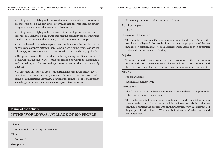• It is important to highlight the innovations and the use of their own resources that were not on the bags (there are groups that decorate their cubes with images; there are others that use alternative tools, etc.).

• It is important to highlight the relevance of the intelligence, a non-material resource that is shown on this game through the capability for designing and building cube models and, eventually, to sell them to other groups.

• It would be useful to make the participants reflect about the problem of the eagerness to compete between them: Where does it come from? Can we use it in an appropriate way at a social level, or will it just end damaging all of us?

• This game is an excellent introduction for explaining the difficult notion of Social Capital, the importance of the cooperation networks, the agreements and mutual support for restore the justice on situations that are structurally unequal.

• In case that this game is used with participants with lower school level, it is preferable to draw previously a model of a cube on the blackboard. With some clear indications about how a carton cube is made, people without any knowledge can make their own cube with just a few resources.

# **Name of the activity**

# **IF THE WORLD WAS A VILLAGE OF 100 PEOPLE**

**Themes**

Human rights – equality – differences

**Time**

30mn-1H

**Group Size**

From one person to an infinite number of them

#### **Age of participants**

#### $10 - 17$

# **Description of the activity**

This activity consiste of a Quizz of 15 questions on the theme of "what if the world was a village of 100 people." interrogating the proportion of the human race on different matters, such as rights, water access or even education and wealth, but at the scale of a village.

#### **Objetives**

To make the participant acknowledge the distribution of the population in today's world and its characteristics. The inequalities that still occur around the globe, and the influence of our own environment over our vision of it.

## **Materials**

Papers and pens

Anex III: Document with

# **Instructions**

The facilitator makes a table with as much column as there is groups or individual and write each answer in it.

The Facilitator asks the 15 questions, each team or individual takes time to answer on the sheet of paper. At the end the facilitator reveals the real number, then questions the participants on their answers. Why this answer? Did they expect this distribution? What are their views on it? What causes and consequences?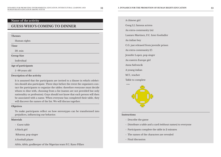# **Name of the activity**

# **GUESS WHO'S COMING TO DINNER**

**Themes** Human rights **Time** 30. min **Group Size** Individual **Age of participants** 5 -99 years old **Description of the activity** It is assumed that the participants are invited to a dinner in which celebrities should also participate. Three days before the event the organizers contact the participants to organize the tables: therefore everyone must decide

whom to dine with, choosing from a list (names are not provided but only nationality or profession). Guys should not know that each person will then be associated with a name. When everyone has completed their table, they will discover the names of the list. We will discuss together.

## **Objetives**

To make participants reflect on how stereotypes can be transformed into prejudices, influencing our behavior.

#### **Materials**

- Guest table
- A black girl

Rihanna, pop singer

A football player

Afelo, Afelo, goalkeeper of the Nigerian team F.C. Kano Pillars

# A chinese girl Gong LI, famous actress An extra-community (m) Lautaro Martinez, F.C. Inter footballer An italian boy C.G. just released from juvenile prison An extra-community (f) Jennifer Lopez, pop singer An eastern Europe girl Anna Safroncik A young italian M.T., teacher Table to complete IL TAVOLO

# **Instructions**

- Describe the game
- Distribute a table and a card (without names) to everyone
- Participants complete the table in 2 minutes
- The names of the characters are revealed
- Final discussion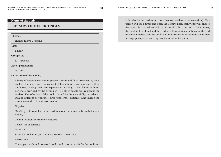# **Name of the activity**

# **LIBRARY OF EXPERIENCES**

| <b>Themes</b>         |
|-----------------------|
| Human Rights Learning |
| Time                  |
| 1 hour                |
| <b>Group Size</b>     |
| $10-15$ people        |
| Age of participants   |
| No limit              |

# **Description of the activity**

Library of experiences tries to present stories and facts presented by alive books – humans. Using the concept of living library, some people will be the books, sharing their own experiences or doing a role playing with experiences provided by the organizer. The other people will represent the readers. The selection of the books should be done carefully, in order to include different perspectives, ages, problems, solutions found during the time, current situation vs past situation

# Objetives

To offer good examples for the readers about true situation from their community

To find solutions for the stories heard

To live the experience

**Materials** 

Paper for book titles , instruments to write , timer , chairs

Instructions

The organizer should prepare 5 books, and pairs of 1 chair for the book and

1-2 chairs for the readers (no more than two readers in the same time). One person will use a timer and open the library. Then each visitor will choose the book title that he likes and start to "read". After a perriod of 5-8 minutes, the book will be closed and the readers will move to a new book. At the end organise a debate with the books and the readers in order to discover their feelings, perceptions and improve the result of the game.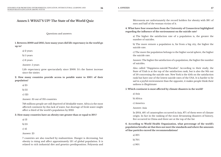# **Annex I: WHAT'S UP? The State of the World Quiz**

Questions and answers

**1. Between 2000 and 2015, how many years did life expectancy in the world go up to?**

a) 2 years

b) 5 years

c) 6 years

Answer: 5 years

Life expectancy grew spectacularly since 2000. It's the fastest increase since the sixties

**2. How many countries provide access to potable water to 100% of their population?**

| ٦<br>۰.<br>$\sim$<br>×<br>۰. |  |
|------------------------------|--|
|------------------------------|--|

b) 35

c) 125

Answer: 35 out of 195 countries

748 millions people are still deprived of drinkable water. Africa is the most affected continent by this lack of water, but shortage of fresh water might affect a third of the world's population by 2025

**3. How many countries have an obesity rate greater than or equal to 30%?**

a) 13

b) 25

c) 41

Answer: 25

7 countries are also touched by malnutrition. Hunger is decreasing, but obesity is rising and affect approximately 13% of global population. It is related to rich industrial diet and genetics predisposition. Polynesia and Micronesia are unfortunately the record holders for obesity with 38% of men and half of the woman victim of it.

**4. What have four researchers from the University of Connecticut highlighted regarding the influence of the environment on the suicide rate?**

a) The higher the satisfaction rate of a population is, the greater the number of suicides.

b) The more remote a population is, far from a big city, the higher the suicide rate.

c) The more the population belongs to the higher social sphere, the higher the suicide rate.

Answer: The higher the satisfaction of a population, the higher the number of suicides.

Also called "Happiness-suicide"Paradox". According to their study, the State of Utah is at the top of the satisfaction rank, but is also the 9th out of 50 concerning the suicide rate. New York is the 45th on the satisfaction rank but have one of the lowest suicide rates of the USA. It is harder to be sad in a joyful environment than the opposite, it makes people think their sadness is illegitimate

**5. Which continent is most affected by climate disasters in the world?**

a) Asia

b) Africa

c) America

Answer: Asia

In 2014, 48% of catastrophes occurred in Asia, 87% of them were of climate origin. In fact in the ranking of the most devastating disasters of history, five occurred in China and three are at the top of the list

**6. According to World Health Organization, what percentage of the world's population breathe air that does not meet the standards and where the amounts of fine particles exceed the recommendations?**

a) 30% b) 70% c) 90%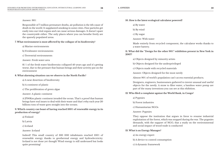# Answer: 90%

Responsible of 7 million premature deaths, air pollution is the 4th cause of death in the world. It supplanted smoking in some cities. Fine particles get easily into our vital organs and can cause serious damages. It doesn't spare the countryside either. The only places where you can breathe freely are the sparsely populated areas.

# **7. What environment is most affected by the collapse of its biodiversity?**

a) Marine environments

b) Freshwater environments

c) Terrestrial environments

Answer: Fresh water area

81 % of the fresh water biodiversity collapsed 40 years ago and it's getting worse, due to the pressure that human beings and their activity put on the environment

# **8. What alarming situation can we observe in the North Pacific?**

a) A near desertion of biodiversity

b) A continent of plastic

c) The proliferation of green algae

Answer: A plastic continent

A 2700Km plastic continent invaded the ocean. That's a proof that human beings have real issues to deal with their waste and that's why each year 20 billions tons of waste goes straight into the oceans.

# **9. Which country can boast of having reached 100% of renewable energy in its production of energy?**

a) Finland

b) Latvia

c) Iceland

# Answer: Iceland

Indeed! This small country of 330 000 inhabitants reached 100% of renewable energy thanks to geothermal energy and hydroelectricity. Iceland is not done yet though! Wind energy is still underused but looks quite promising!

# **10. How is the latest ecological calculator powered?**

a) By water

- b) By wind
- c) By sugar
- Answer: With water

Made entirely from recycled component, the calculator works thanks to a water battery.

**11. What did the "Design for the other 90%" exhibition present in New York in 2007?**

- a) Objects designed by minority artists
- b) Objects designed for the underprivileged

c) Objects made with recycled materials

Answer: Objects designed for the most needy

Almost 90% of world's population can't access essential products.

Designers, engineers, businessmen gathered to invent unusual and useful objects for the needy. A straw to filter water, a bamboo water pomp are part of the many inventions you can see at this ehibition.

# **12. Who filed a complaint against the World Bank, in Congo?**

a) Pygmies

b) Forest industries

c) Humanitarian NGOs

Answer: Pygmies

They oppose the institution that argues in favor to resume industrial exploitation of the forest, which was stopped during the war. The pygmies demands, with the support of NGO, that a study on the environmental and social impact of wood trade is conducted

# **13. What is an Energy Manager?**

a) An energy expert

- b) A device to control consumption
- c) A dynamic framework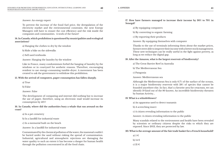Answer: An energy expert

To prevent the increase of the fossil fuel price, the deregulation of the electricity market and the environmental constraint, the next Energy Managers will have to ensure the cost efficiency and the risk inside the companies and communities. A work of the future!

# **14. In Canada, which prohibition is questioned by municipalities and ecological associations?**

a) Hanging the clothes to dry by the window

b) Ride a bike on the sidewalks

c) Sell used textbooks

Answer: Hanging the laundry by the window

Like in France, many condominium forbid the hanging of laundry by the windows or in courtyard for aesthetic reasons. Therefore, encouraging resident to use energy-consuming tumble-dryer. A movement has been created to ask the government to withdraw this prohibition.

# **15. With the arrival of computers, paper consumption has fallen sharply.**

a) True

b) False

Answer: False

The development of computing and internet did nothing but to increase the use of paper, therefore, using an electronic mail would increase its consumption by 40%!

# **16. In Canada, where did the authorities bury a whale that ran around on the coast?**

a) In a pet cemetery

b) In a landfill for industrial waste

c) In a memorial built on the beach

Answer: In a landfill for industrial waste

Contaminated by the chemical pollution of the water, the mammal couldn't be buried under the sand without risking the spread of contamination. Industrial, agricultural and atmospheric rejections are damaging the water quality to such an extent it has become a danger for human health through the pollution concentrated in all the food chain.

**17. How have farmers managed to increase their income by 30% to 70% in Senegal?**

a) By equipping computers

b) By converting to organic farming

c) By exporting their products

Answer: By equipping themselves with computer

Thanks to the use of terminals informing them about the market prices, farmers were able to improve their income with a better stock management. These new techniques can be really useful in the fight against poverty, as long as we reduce the digital gap.

# **18. After the Amazon, what is the largest reservoir of biodiversity?**

a) The Great Barrier Reef in Australia

b) The Mediterranean Sea

c) Patagonia

# Answer: Mediterranean sea

Although the Mediterranean Sea is only 0.7% of the surface of the oceans, it is a major biodiversity reservoir with 28% of species that cannot be founded anywhere else. In fact, that's a favorite area for cetaceans, we can identify 19 kind out of the 80 known. An incredible biodiversity threaten by human Activity...

# **19. What is a whistleblower?**

a) An apparatus used to detect tsunamis

b) A screeching insect

c) A citizen revealing information to the public

Answer: A citizen revealing information to the public

Many scandals related to the environment and health have been revealed by scientists or ordinary citizens despite the risks to which they are exposed. Since 2013, they are protected by law.

**20. What is the average amount of the fair trade basket for a French household?** 

a) 5 € b) 14  $\epsilon$ c) 21 €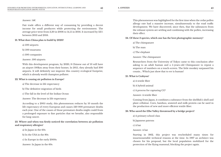# Answer: 14€

Fair trade offers a different way of consuming by providing a decent income for small producers while protecting the environment. The average price went from 3,30 in 2006 to 14,15 in 2016. It increased by 121% between 2013 and 2016.

# **21. What does China plan to build by 2020?**

a) 500 airports

b) 500 museums

c) 500 companies

Answer: 500 airports

With this development program, by 2020, 8 Chinese out of 10 will have an airport 100km away from their homes. In 2015, they already had 300 airports. It will definitely not improve this country ecological footprint, which is already world champion polluter.

# **22. What is causing air pollution in Europe?**

a) The decrease in life expectancy

b) The definitive migration of birds

c) The fall in the level of the Indian Ocean

Answer: The decrease in life expectancy

According to a 2005 study, this phenomenon reduces by 10 month the life expectancy of every European and causes 520 000 premature deaths each year. One of the causes of those premature deaths might could from a prolonged exposure to fine particles that we breathe, also responsible for lung cancer.

**23. Where and when was firstly noticed the correlation between air pollution and respiratory allergies?**

a) In Japan in the 60s

b) In the USA in the 80s

c) In Europe in the early 2000s

Answer: In Japan in the 60s

This phenomenon was highlighted for the first time when the cedar pollen allergy rate had a massive increase, simultaneously to the road traffic development. We have discovered, since then, that the substances from the exhaust system are settling and combining with the pollen, increasing their effect.

# **24. Of these 3 species, which one has the best photographic memory?**

a) The chimpanzee

b) The man

c) The elephant

Answer: The chimpanzee

Researchers from the University of Tokyo came to this conclusion after asking to an adult human and a 5-years-old Chimpanzee to repeat a sequence of numbers on a touch-screen. The little monkey surpassed his cousin... Which just show that to err is human!

# **25. What is Crabyon?**

a) A textile fiber

b) A hybrid animal

c) A process for capturing CO²

Answer: A textile fiber

Coming from Japan, it combines a substance from the shellfish's shell and plant cellulose. Corn, bamboo, seaweed and milk protein can be used in the production of new and more efficient textile fiber.

# **26. Who saved the Elbe Valley threatened by a bridge project?**

a) A primary school class

b) Japanese patrons

c) A bat

# Answer: A bat

Starting in 1862, this project was rescheduled many times for insurmountable technical reasons at the time. In 1997 an architect was chosen for his proposal, but the local population mobilized for the protection of the flying mammal, blocking the project again.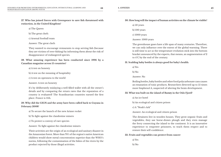**27. Who has joined forces with Greenpeace to save fish threatened with extinction, in the United Kingdom?**

a) The Queen

b) The great chefs

c) Arsenal football team

Answer: The great chefs

They wanted to encourage restaurants to stop serving fish (because they are victims of over-fishing) by informing them about the risk of disappearance of endangered species.

**28. What amazing experience has been conducted since 1996 by a Canadian magazine across 15 countries?**

a) A test on honesty

b) A test on the meaning of hospitality

c) A test on openness to the world

Answer: A test on honesty

It's by deliberately mislaying a well filled wallet with all the owner's details and by comparing the return rates that the reputation of a country is evaluated! The Scandinavian countries earned the first place. France is 11th.

**29. Why did the GIGN and the army have been called back to Guyana in February 2008?**

a) To secure the launch of the new Ariane rocket

b) To fight against the clandestine miners

c) To protect a convoy of rare species

Answer: To fight against the clandestine miners

Their activities are the origin of an ecological and sanitary disaster in the Amazonian forest. More than 70% of the region's native American children would show metal concentration superior than the WHO's norms, following the contamination of the fishes of the rivers by the product rejected by those illegal activities.

**30. How long will the impact of human activities on the climate be visible?**

- a) 50 years
- b) 100 years
- c) 1000 years

Answer: 1000 years

The greenhouse gases have a life span of many centuries. Therefore, we can only influence over the extent of the global warming. There is still time to act so the temperature evolution stick into the bottom bracket announced by the experts, that means, an augmentation of 2 to 4°C by the end of the century.

## **31. Scalding baby bottles is always good for baby's health:**

a) Yes

b) No

Answer: No

Boiling bottles, baby bottles and other food polycarbonate cans causes an emanation of toxic products. Researchers detected up to 55 times more bisphenol A, suspected of altering the brain development.

# **32. What was built on the island of Bastøy in the Oslo Fjord?**

a) An ice hotel

b) An ecological and citizen prison

c) A "Noah's Ark"

Answer: An ecological and citizen prison

The detainees live in wooden houses. They grow organic fruits and vegetables; they use horse-drawn plough and they even manage the ferry connecting the island to the continent. It is an innovative experience to empower prisoners, to teach them respect and to restore their self-confidence.

#### **33. Fruits and vegetables can protect from cancer**

a) Yes b) No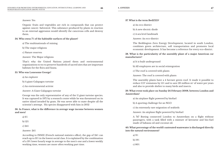# Answer: Yes

Organic fruits and vegetables are rich in compounds that can protect against cancer: Salvestrol. This substance produced by plants in reaction to an external aggression would identify the cancerous cells and destroy them.

# **34. Who owns 7% of the habitable surfaces of the planet?**

a) The multinationals of mining

b) The major religions

c) Nature reserves

Answer: The Major religions

That's why the United Nations joined them and environmental organizations to try to preserve hundreds of sacred sites that are important habitats for the flora and fauna.

# **35. Who was Lonesome George?**

a) An explorer

b) A giant Galapagos tortoise

c) An environmental activist

Answer: A Giant Galapagos tortoise

George was the only representative of any of the 11 giant turtoise species. It was captured in 1971 by a research center while he was threatened on its native island invaded by goats. He was never able to mate despite all the scientist's attempt. His species disappeared with him in 2012

# **36. In France, what is the difference in average wage income between women and men?**

a) 6%

b) 12%

c) 24%

Answer: 24%

According to INSEE (French national statistics office), the gap of 24% can reach up to 31% in the lowest social class. It is explained by the combination of a 19% lower hourly wage in average to the men's one and a lower weekly working time, women are more often working part time.

# **37. What is the term BedZED?**

- a) An eco-district
- b) A new electric diode
- c) A sea level landmark
- Answer: An eco-district

The Beddington Zero Energy Development, located in south London, combines green architecture, soft transportation and promotes local economic development. It has become a reference for every eco-district.

# **38. What is the particularity of the assembly plant of a major American car manufacturer?**

a) It is built underground

b) All employees are in social reintegration

c) The roof is covered with plants

Answer: The roof is covered with plants

The assembly plants have a 4 hectare green roof. It made it possible to reduce  $CO<sup>2</sup>$  emissions by 15% and to save 20 million m<sup>3</sup> of water per years and also to provide shelter to many birds and insects.

# **39. What event took place on Sunday 24 February 2008, between London and Amsterdam?**

a) An airplane flight powered by biofuel

b) A sporting challenge for an NGO

c) An extremely rare migration of seabirds

Answer: An airplane flight powered by biofuel

A 747 Boeing connected London to Amsterdam on a flight without passengers, with a tank filled with a mixture of kerosene and bio-fuel made of babassu oil and coconut oil.

**40. What percentage of the world's untreated wastewater is discharged directly into the natural environment?**

| a) $9%$  |  |
|----------|--|
| b) $19%$ |  |
| c) $80%$ |  |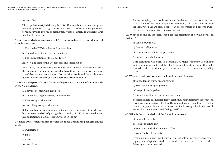Answer: 80%

The population tripled during the XXth Century, but water consumption was multiplied by six. Agriculture consumes 70% of resources against 20% for industry and 10% for domestic use. Water treatment is a priority issue in a lot of countries

# **41. In France, what consumes nearly 1/4 of the annual electricity production of a nuclear reactor?**

a) The total of TV decoders and internet box

b) The radios embedded in Parisian taxis

c) The illuminations of the Eiffel Tower

Answer: The total of the TV decoders and internet box

In standby, those devices consume as much as when they are on. With the increasing number of people that have those devices, it will consume 1/3 of that nuclear reactor soon. Cost for the people and the earth: those devices bulimia makes you pay a 13th subscription month.

# **42. What is the particularity of street garbage cans in the town of Saint-Mandé in the Val de Marne?**

a) They are scented with green tea

b) They talk to urge passersby to cleaniness

c) They compact the waste

Answer: They compact the waste

Solar panels produce electricity that allow bins' compactors to work. Each bin can receive 680 L of garbage for a capacity of 175 L. Compacted waste, less collection to plan, so, less CO² freed in the air.

**43. Since 2001, which country recycles the most aluminium packaging in the world?**

a) Switzerland

b) Japan

c) Brazil

Answer: Brazil

By encouraging the people from the favelas to retrieve soda tin cans in exchange of discount coupons on electricity bills, the collection rate reached 98%. Bills are paid; people can access credits and become aware of the necessity to protect the environment.

**44. What is found in the paint used for the signaling of certain roads, in Brittany?**

a) Toxic heavy metals

b) Oyster shell powder

c) Luminescent radioactive pigments

Answer: Oyster shell powder

This technique was born in Morbihan. A Major company in building and maintaining roads had the idea to extract limestone out of the shells instead of the traditional quarries, to incorporate it into the signaling paint.

# **45. What original profession can be found in North America?**

a) Consultant in humor management

b) Eco-friendly shopping coach

c) Lawyer in embryo law

Answer: Consultant in humor management

Solicited to help business leaders to relax, they don't hesitate to recommend hiring someone assigned for fun. Humor and joy are beneficial to the life of the company . Some of the most profitable companies in the world, known for their workers well-being, certify it.

# **46. What is the particularity of the Capuchin monkey?**

a) He is able to strike

b) He sleeps 48h to rest

c) He understands the language of flies

Answer: He is able to strike

That's a quite surprising behavior that Atlanta's university researchers highlighted: Capuchin studied refused to do their task if one of their fellows get a better reward!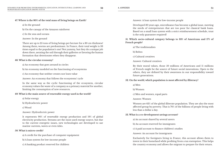# **47. Where is the 80% of the total mass of living beings on Earth?**

a) In the ground

b) On the canopy of the Amazon rainforest

c) In the seas and oceans

Answer: In the ground

There are up to 25 tons of living beings per hectare for a 30 cm thickness! Among them, worms are predominant. In France, their total weight is 33 times equal to the population's one! Not yummy, but they do a unique job down there, aerating the soil through their galleries or favoring the humus formation that deteriorates when they disappear.

# **48. What is the circular economy?**

a) An economy that goes around in circles

b) An economy modeled on the functioning of ecosystems

c) An economy that neither creates nor loses value

Answer: An economy that follows the ecosystems' cycle

In the same way as the cyclic functioning of the ecosystem, circular economy values the waste of a company as a primary material for another, limiting the consumption of new resources.

# **49. What is the main source of renewable energy used in the world?**

a) Solar energy

b) Hydroelectric power

c) Wood

Answer: Hydroelectric power

It represents 90% of renewable energy production and 19% of global electricity production. Streams are the most used energy source, but due to the current energetic issues, new technologies are developed to use marine currents, waves or even tides.

# **50. What is micro-credit?**

a) A credit for the purchase of computer equipment

b) A loan system for low-income people

c) A banking product reserved for children

Answer: A loan system for low-income people

Developed 30 years ago, microfinance has become a global issue, meeting the needs of entrepreneurs that are too poor for classical bank loans. Based on a small loan system with a strict reimbursement schedule, trust is the only guarantee required!

**51. Which socio-cultural category belongs to 33% of Americans and 17% of French people?**

a) The traditionalists

b) Bobos

c) Cultural creatives

Answer: Cultural creatives

By their moral values, those 50 millions of Americans and 11 millions of French might be the source of future social innovations. Open to the others, they are defined by their awareness in our responsibility toward future generations.

# **52. On the world, which population is most affected by illiteracy?**

a) Men

b) Women

c) Men and women, equal parts

Answer: Women

Women are 63% of the global illiterate population. They are also the most affected group by poverty. That is 70% of the billions of people living with less than a dollar a day.

# **53. What is a co-development savings account?**

a) An account shared by several savers

b) An account reserved for immigrants

c) A paid account to finance children's studies

Answer: An account for immigrants

Exclusively for foreigners living in France, this account allows them to invest in their homeland while profiting from a tax exemption. This helps the country economy and allows the migrant to prepare for their return.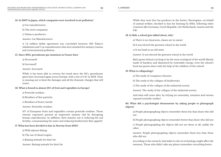# **54. In 2007 in Japan, which companies were involved in air pollution?**

a) Car manufacturers

b) The steel companies

c) Tobacco producers

Answer: Car Manufacturers

A 7,4 million dollar agreement was concluded between 500 Tokyo's inhabitants and 7 car manufacturers that were attacked for sanitary reasons and environmental pollution.

# **55. Since 2015, greenhouse gas emissions in France have**

a) Decreased?

b) Increased?

Answer: Increased

While it has been able to reverse the trend since the 90's, greenhouse gases have increased again across Europe, with a rise of 1.8% in 2018. Time is running out to limit the damages and all the dramatic changes that will ensue.

# **56. What is found in almost 50% of fruit and vegetables in Europe?**

a) Pesticide residues

b) Residues of fine particles

c) Residues of heavy metals

Answer: Pesticides residues

47% of European fruits and vegetables contain pesticide residues. Those chronic exposures present an important sanitary risk by disrupting human reproduction. In addition, their massive use is reducing the soil fertility, contaminating the water and reducing biodiversity! Bon appétit!

# **57. What has been decided to ban in Norway from 2025?**

a) Wild salmon fishing

b) The use of diesel engine

c) Raising animals for their fur

Answer: Raising animals for their fur

While they were first fur producer in the forties, Norwegians, on behalf of animal welfare, decided to ban fur farming by 2025, following other countries like Germany, Czech Republic, the Netherlands, Austria and the UK!

# **58. In Bali, a school gets talked about, why?**

a) There is no classroom, classes are in nature

b) It was elected the greenest school in the world

c) It was built in an old mine

Answer: It was elected the greenest school in the world

Bali's green School can brag to be the most ecological of the world! Mostly made of bamboo and alimented by renewable energy, even the school's food was grown there with the help of the children of the school!

# **59. What is collapsology?**

a) The study of conspiracy theories

b) The study of the collapse of biodiversity

c) The study of the collapse of the industrial society.

Answer: The study of the collapse of the industrial society

And what will come after, by relying on rationality, intuition and various reputed scientific studies!

**60. What did a psychologist demonstrate by asking people to photograph objects?**

a) People photographing objects remember them less than those who did not

b) People photographing objects remember better than those who did not

c) People photographing the objects did not see them at all, unlike the other

Answer: People photographing objects remember them less than those who did not.

According to the research, that habit to rely on technology might affect the memory. Those who didn't take any photo remember everything better.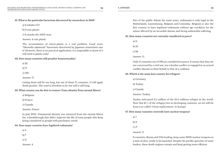# **61. What is the particular bacterium discovered by researchers in 2018?**

a) It inhales CO²

b) It eats plastic

c) It attacks the AIDS virus

Answer: It eats plastic

The accumulation of micro-plastic is a real problem. Good news: "Ideonella sakaiensis" bacterium discovered by Japanese researchers eats it! However, there is no practical application, it is impossible to know if it will stick to plastic only!

**62. How many countries still penalize homosexuality?**

a) 24

b) 71

c) 120

Answer: 71

Listing them will be too long, but out of those 71 countries, 11 still apply death penalty. The road to freedom to be one self is still long.

# **63. What country was the first to remove Trans identity from mental illness?**

a) Belgium

b) France

c) Canada

Answer: France

In July 2010, Transsexual identity was removed from the mental illness list, a breakthrough that didn't improve the life of trans people who keep being considered as people with psychiatric needs.

# **64. How many countries have legalized euthanasia?**

a) 4

b) 7

c) 11

Answer: 4

Part of the public debate for some years, euthanasia is only legal in the Netherlands, Luxembourg, Belgium and Colombia. Belgium is also the first country to have legalized euthanasia without age condition for the minor affected by an incurable disease and facing unbearable suffering.

# **65. How many countries are currently considered at peace?**

a) 11

b) 25

c) 98

Answer: 11

Only 11 countries out of 198 are considered at peace. It means that they are not concerned by a civil war, nor a border conflict or engaged in an armed conflict abroad on their behalf or that of a coalition.

# **66. Which is the main host country for refugees?**

a) Germany

b) Turkey

c) Canada

# Answer: Turkey

Turkey welcomed 3,5 million of the 25,4 millions refugee in the world. Note that 85 % of the refugees live in developing countries, we are still far from a so-called «Great replacement» in Europe.

# **67. How many countries currently have nuclear weapons?**

a) 5 b) 9 c) 17

# Answer: 9

9 countries, Russia and USA leading, keep some 2000 nuclear weapons in a state of alert, ready to be launched. Despite the pacifist speeches of some leaders, these death engines remain and keep getting more efficient.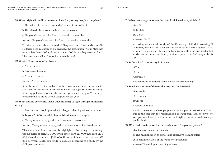# **68. What original idea did a beekeeper have for pushing people to help bees?**

a) He invited citizens to come and take care of bees with him

b) He offered a hive to each school that requests it

c) He gave clover seeds for free to those who request them

Answer: He gave clover seeds for free to those who request them

To raise awareness about the gradual disappearance of bees, and especially solitaries bees, mainstay of biodiversity, the association "Natur Miel" has sent no less than 300 kg of seed to the 60 000 letters they received for it! This represents 20 km² more for bees to forage!

# **69. What is "Shinrin-yoku" in Japan?**

a) A tree therapy

b) A rare plant species

c) A nature reserve

Answer: A tree therapy

It has been proved that walking in the forest is beneficial for our health, and also for our Earth health. It's our best ally against global warming, reducing pollutant gases in the air and producing oxygen. Yet, a large forest surface as big as Greece disappears each year.

**70. What did the economist Lucie Davoine bring to light through an income survey?**

a) Low-income people generally feel happier than high-income earners

b) Beyond 75 000 annual dollars, satisfaction tends to stagnate

c) Money makes us happy when we earn more than others.

Answer: Money makes us happy when we earn more of it than the others.

That's what the French economist highlighted. According to the survey, people prefer to earn \$ 50 000 when others earn \$25 000 than earn \$100 000 when the other earn \$200 000. However, it is also true that over \$75 000 per year, satisfaction tends to stagnate, according to a study by the Gallup organization.

- **71. What percentage increases the risk of suicide when a job is lost?**
	- a) 5-10% b) 20-30% c) 50-60%

Answer: 20-30%

According to a statistic study of the University of Zurich, covering 63 countries, nearly 45000 suicide cases are linked to unemployment. It has a negative effect on all life aspects. For example, after the dismissal of 680 workers of a continental factory, union reported that 250 couples broke up!

# **72. Is the school compulsory in France?**

a) Yes

b) No

Answer: No

But education is! Indeed, some choose homeschooling!

# **73. In which country of the world is taxation the heaviest?**

a) Australia

b) Denmark

c) Greece

# Answer: Denmark

It's also the country where people are the happiest to contribute! This is due to the fact that the redistribution is transparent and effective: one year parental leave, free health care and higher education. Well managed public funds!

# **74. What is the main cause for the devaluation of degrees at present?**

a) A decrease in teaching quality

b) The multiplication of private and expensive training offers

c) The multiplication of the number of graduates

Answer: The multiplication of graduates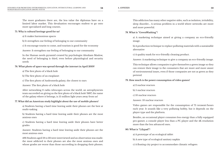The more graduates there are, the less value the diplomas have on a limited labor market. This devaluation encourages student to go onto more specialized and long courses.

## **75. Why is cultural heritage good for us?**

a) It makes harmonious spaces

b) It strengthen our feeling of belonging to our community

c) It encourage tourist to come, and tourism is good for the economy

Answer: It strengthen our feeling of belonging to our community

In the Human needs pyramid created by psychologist Abraham Maslow, the need of belonging is third, even before physiological and security needs

# **76. What photo of space was spread through the internet in April 2019?**

a) The first photo of a black hole

b) The first photo of an exoplanet

c) The first photo of Andromeda galaxy, the closest to ours

Answer: The first photo of a black hole

After networking 8 radio telescopes across the world, an astrophysicists team succeeded on giving us the first photo of a black hole! M87, the name of the galaxy where it belongs, is 55 million light years away from us!

## **77. What did an American study highlight about the use of mobile phones?**

a) Students having a hard time leaving aside their phones are the best at multi-tasking

b) Students having a hard time leaving aside their phones are the most anxious ones

c) Students having a hard time leaving aside their phones have better grades

Answer: Students having a hard time leaving aside their phones are the most anxious ones

496 Students aged 18 to 22 were interviewed and an observation was made: the most addicted to their phones are also the most anxious ones and whose grades are worse than those succeeding in dropping their phones. This addiction has many other negative sides, such as isolation, irritability, sleep disorder... A serious problem in a world where networks are more and more powerful.

# **78. What is "GreenWashing"?**

a) A marketing technique aimed at giving a company an eco-friendly image.

b) A production technique to replace polluting materials with a sustainable alternative

c) A quality mark for eco-friendly cleaning product.

Answer: A marketing technique to give a company an eco-friendly image.

This technique allows companies to give themselves a green image so they can restore their image to the consumers that are more and more aware of environmental issues, even if those companies are not as green as they pretend.

## **79. How much is the power consumption of video games?**

a) 2 nuclear reactors

b) 5 nuclear reactors

c) 10 nuclear reactors

Answer: 10 nuclear reactors

Video games are responsible for the consumption of 75 terawatt/hours each year. It sounds like a very polluting hobby, but it depends on the player type and the platform.

Besides, an occasional player consumes less energy than a fully equipped pro-gamer, a console player less than a PC player and the 4K resolution more than the less advanced ones.

**80. What is "Lilypad"?**

a) A prototype of an ecological tablet

b) A new type of ecological sanitary napkin

c) A floating city project to accommodate climatic refugees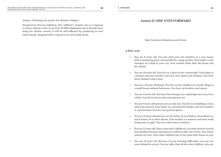Answer: A floating city project for climatic refugees

Designed by Vincent Callebaut, this "offshore" utopian city is a response to future climate crises. It can host 50 000 inhabitants and it should move along the marine current. It will be self-sufficient by producing its own clean energy, designed with a vegetal cover and arable lands.

# **Annex II: ONE STEP FORWARD**

Role Cards and Situations and Events

#### **a) Role cards**

- You are 8 years old. You live with your two brothers in a nice house with a swimming pool, surrounded by a large garden. Your father is the manager of a bank in your city. Your mother looks after the house and the family.
- You are 10 years old. You live on a farm in the countryside. Your father is a farmer and your mother cares for cows, geese and chickens. You have three brothers and a sister.
- You are a 12 year old Roma. You live on the outskirts of a small village in a small house without bathroom. You have six brothers and sisters.
- You are 11 years old. You have been living in an orphanage since you were a baby. You do not know who your parents are.
- You are 9 years old and you are an only son. You live in a building in town with your parents. Your father is a construction worker and your mother is a postwoman. You are very good at sports.
- You are 13 years old and you are the eldest of six children. Your father is a truck driver; he is often absent. Your mother is a waitress and must work frequently at night. You very often have to babysit.
- You are 11 years old. Since your early childhood, you have lived in several host families because your parents could not take care of you. Your foster parents are nice. Four other children live in the same little house as you.
- You are 10 years old. Because of your learning difficulties, you are two years behind in school. You are taller than all the other children, who are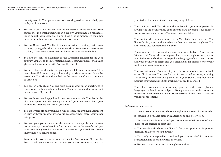only 8 years old. Your parents are both working so they can not help you with your homework.

- You are 8 years old and you are the youngest of three children. Your family lives in a small apartment, in a big city. Your father is a mechanic. Since he just lost his job, you do not have a lot of money. On the other hand, your father has more time to play with you.
- You are 11 years old. You live in the countryside, in a village, with your parents, a younger brother and a younger sister. Your parents are running a bakery. They tease you sometimes because you're rather chubby.
- You are the son (or daughter) of the American ambassador in your country. You attend the international school. You wear glasses with thick glasses and you stutter a little. You are 11 years old.
- You were born in this city, but your parents left to settle in Asia. They own a beautiful restaurant; you live with your sister in rooms above the restaurant. Your sister and you help at the restaurant after class. You are 13 years old.
- You are an only child. You live with your mother in an apartment in town. Your mother works in a factory. You are very good at music and dance. You are 9 years old.
- You are born handicapped and must use a wheelchair. You live in the city in an apartment with your parents and your two sisters. Both your parents are teachers. You are 12 years old.
- You are 9 years old and you have a twin brother. You live in an apartment in town with your mother who works in a department store. Your father is in prison.
- You and your parents came to this country to escape the war in your home country, somewhere in Africa. You arrived at the age of 9 and you have been living here for two years. You are now 11 years old. You do not know when you can go home.
- Your parents divorced when you were a baby. You are now 12 years old. You live with your mother and her companion. At weekends, you go to

your father, his new wife and their two young children.

- You are 8 years old. Your sister and you live with your grandparents in a village in the countryside. Your parents have divorced. Your mother works as a secretary in town. You rarely see your father.
- Your mother died when you were born. Your father has remarried. You live with him, your mother-in-law and her two teenage daughters. You are 8 years old. Your father is a lawyer.
- You immigrated to this country when you were still a baby. Now you are 10 years old. Many other immigrants live in your neighborhood, where your father runs a business. You speak the languages of your new country and your country of origin and you often act as an interpreter for your mother and your grandmother.
- You are asthmatic. Because of your illness, you often miss school, especially in winter. You spend a lot of time in bed at home, watching TV, surfing the Internet and playing with your Switch. You feel lonely because your parents are both working. You are 13 years old.
- Your older brother and you are very good at mathematics, physics, languages, in fact in most subjects. Your parents are professors at the university. They make you take private lessons all the time to prepare you for competitions.

# **b) Situations and events**

1. You and your family always have enough money to meet your needs.

2. You live in a suitable place with a telephone and a television.

3. You are not made fun of and you are not excluded because of your different appearance or disability.

4. The people with whom you live ask for your opinion on important decisions that concern you directly.

5. You study at a reputable school and you are enrolled in clubs for recreational and sports activities after class.

6. You are having music and drawing lessons after class.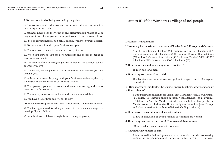7. You are not afraid of being arrested by the police.

8. You live with adults who love you and who are always committed to defending your interests

9. You have never been the victim of any discrimination related to your origins or those of your parents, your past, your religion or your culture.

10. You do regular medical and dental checks, even when you're not sick.

11. You go on vacation with your family once a year.

12. You can invite friends to dinner or to sleep at home.

13. When you grow up, you can go to university and choose the trade or profession you want.

14. You are not afraid of being caught or attacked on the street, at school or where you live

15. You usually see people on TV or at the movies who are like you and live like you.

16. At least once a month, you go with your family to the cinema, the zoo, the museum, the countryside or other fun places.

17. Your parents, your grandparents and even your great-grandparents were born in this country.

18. You can buy new clothes and shoes whenever you need them.

19. You have a lot of time and friends to play.

20. You have the opportunity to use a computer and can use the Internet.

21. You feel appreciated for what you can achieve and are encouraged to develop all your abilities.

22. You think you will have a bright future when you grow up.

# **Annex III: If the World was a village of 100 people**

Document with questions

# **1. How many live in Asia, Africa, America (North / South), Europe, and Oceania?**

Asia: 60 inhabitants (3 billion 966 million); Africa: 15 inhabitants (917 million); America: 13 inhabitants (900 million); Europe: 11 inhabitants (733 million); Oceania: 1 inhabitant (33.6 million); Total of 7 689 550 127 inhabitants. FYI: In Antarctica: 1500 inhabitants (0%).

# **2. How many men and how many women are there?**

49 men and 51 women.

# **3. How many are under 25 years old?**

43 inhabitants are under 25 years of age (but this figure rises to 60% in poor countries).

# **4. How many are Buddhists, Christians, Hindus, Muslims, other religions or without religion?**

6 Buddhists (325 million in Sri Lanka, Tibet, Southeast Asia); 33 Christians (2.6 billion); 15 Hindus (1 billion in India, Nepal, Bangladesh); 21 Muslims (1.5 billion, in Asia, the Middle East, Africa, and a little in Europe, the 1st Muslim country is Indonesia); 11 other religions (15 million Jews, Europe and North America); 14 without religion (including 2 atheists).

#### **5. How many live in a situation of armed conflict?**

33 live in a situation of armed conflict, of whom 23 are women.

#### **6. How many can read, write, count? How many of them women?**

60 can read, write and count, 40 are men.

#### **7. How many have access to care?**

Infant mortality (before 1 year) is 45% in the world, but with contrasting realities: 86% in sub-Saharan Africa, 56% in South Asia, 5% in rich countries.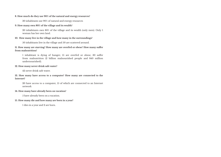# **8. How much do they use 90% of the natural and energy resources?**

30 inhabitants use 90% of natural and energy resources

# **9. How many own 80% of the village and its wealth?**

20 inhabitants own 80% of the village and its wealth (only men). Only 1 woman has her own land.

# **10. How many live in the village and how many in the surroundings?**

50 inhabitants live in the village and 50 are scattered around.

# **11. How many are starving? How many are overfed or obese? How many suffer from malnutrition?**

1 inhabitant is dying of hunger; 15 are overfed or obese; 30 suffer from malnutrition (2 billion malnourished people and 840 million undernourished).

# **12. How many never drink safe water?**

42 never drink safe water.

# **13. How many have access to a computer? How many are connected to the Internet?**

20 have access to a computer, 15 of which are connected to an Internet network

# **14. How many have already been on vacation?**

5 have already been on a vacation.

# **15. How many die and how many are born in a year?**

1 dies in a year and 2 are born.